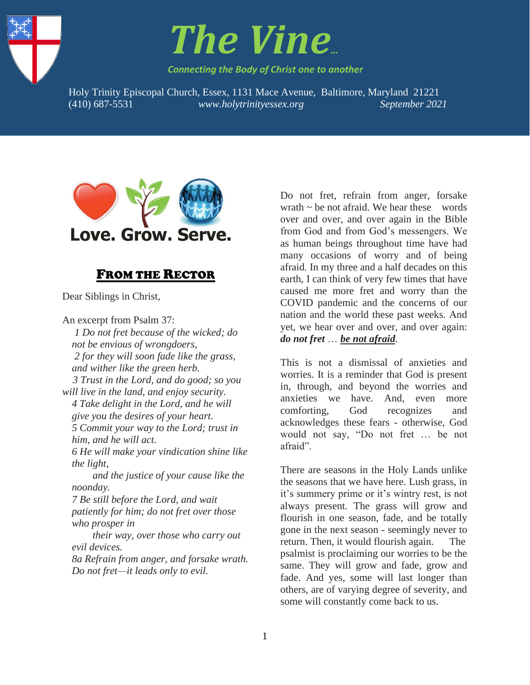



*Connecting the Body of Christ one to another*

Holy Trinity Episcopal Church, Essex, 1131 Mace Avenue, Baltimore, Maryland 21221 1. (410) 687-5531 *www.holytrinityessex.org September 2021*



# FROM THE RECTOR

Dear Siblings in Christ,

An excerpt from Psalm 37:

*1 Do not fret because of the wicked; do not be envious of wrongdoers, 2 for they will soon fade like the grass, and wither like the green herb. 3 Trust in the Lord, and do good; so you will live in the land, and enjoy security. 4 Take delight in the Lord, and he will give you the desires of your heart. 5 Commit your way to the Lord; trust in him, and he will act. 6 He will make your vindication shine like the light, and the justice of your cause like the noonday. 7 Be still before the Lord, and wait patiently for him; do not fret over those who prosper in their way, over those who carry out evil devices.*

*8a Refrain from anger, and forsake wrath. Do not fret—it leads only to evil.*

Do not fret, refrain from anger, forsake wrath  $\sim$  be not afraid. We hear these words over and over, and over again in the Bible from God and from God's messengers. We as human beings throughout time have had many occasions of worry and of being afraid. In my three and a half decades on this earth, I can think of very few times that have caused me more fret and worry than the COVID pandemic and the concerns of our nation and the world these past weeks. And yet, we hear over and over, and over again: *do not fret* … *be not afraid*.

This is not a dismissal of anxieties and worries. It is a reminder that God is present in, through, and beyond the worries and anxieties we have. And, even more comforting, God recognizes and acknowledges these fears - otherwise, God would not say, "Do not fret … be not afraid".

There are seasons in the Holy Lands unlike the seasons that we have here. Lush grass, in it's summery prime or it's wintry rest, is not always present. The grass will grow and flourish in one season, fade, and be totally gone in the next season - seemingly never to return. Then, it would flourish again. The psalmist is proclaiming our worries to be the same. They will grow and fade, grow and fade. And yes, some will last longer than others, are of varying degree of severity, and some will constantly come back to us.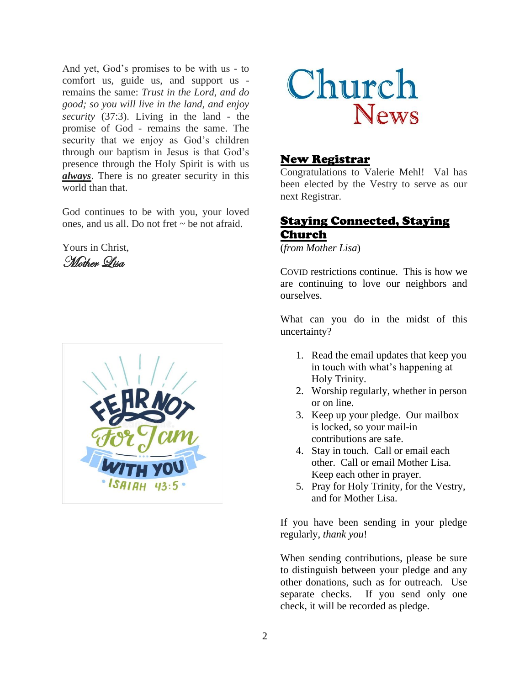And yet, God's promises to be with us - to comfort us, guide us, and support us remains the same: *Trust in the Lord, and do good; so you will live in the land, and enjoy security* (37:3). Living in the land - the promise of God - remains the same. The security that we enjoy as God's children through our baptism in Jesus is that God's presence through the Holy Spirit is with us *always*. There is no greater security in this world than that.

God continues to be with you, your loved ones, and us all. Do not fret ~ be not afraid.

Yours in Christ, Mother Lisa





#### New Registrar

Congratulations to Valerie Mehl! Val has been elected by the Vestry to serve as our next Registrar.

# Staying Connected, Staying Church

(*from Mother Lisa*)

COVID restrictions continue. This is how we are continuing to love our neighbors and ourselves.

What can you do in the midst of this uncertainty?

- 1. Read the email updates that keep you in touch with what's happening at Holy Trinity.
- 2. Worship regularly, whether in person or on line.
- 3. Keep up your pledge. Our mailbox is locked, so your mail-in contributions are safe.
- 4. Stay in touch. Call or email each other. Call or email Mother Lisa. Keep each other in prayer.
- 5. Pray for Holy Trinity, for the Vestry, and for Mother Lisa.

If you have been sending in your pledge regularly, *thank you*!

When sending contributions, please be sure to distinguish between your pledge and any other donations, such as for outreach. Use separate checks. If you send only one check, it will be recorded as pledge.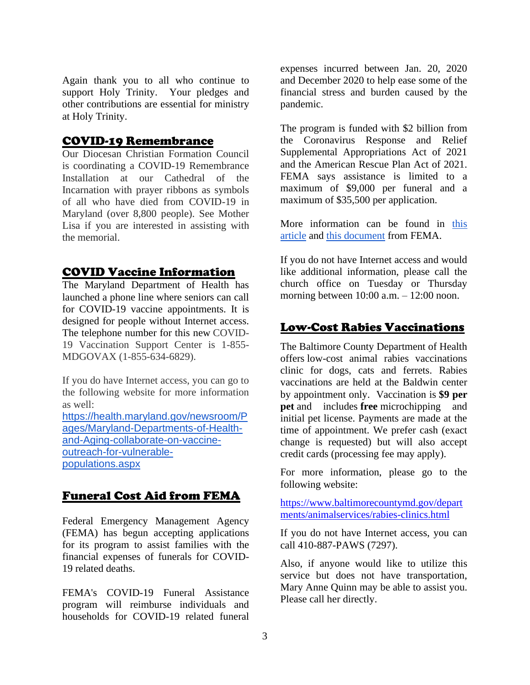Again thank you to all who continue to support Holy Trinity. Your pledges and other contributions are essential for ministry at Holy Trinity.

## COVID-19 Remembrance

Our Diocesan Christian Formation Council is coordinating a COVID-19 Remembrance Installation at our Cathedral of the Incarnation with prayer ribbons as symbols of all who have died from COVID-19 in Maryland (over 8,800 people). See Mother Lisa if you are interested in assisting with the memorial.

## COVID Vaccine Information

The Maryland Department of Health has launched a phone line where seniors can call for COVID-19 vaccine appointments. It is designed for people without Internet access. The telephone number for this new COVID-19 Vaccination Support Center is 1-855- MDGOVAX (1-855-634-6829).

If you do have Internet access, you can go to the following website for more information as well:

[https://health.maryland.gov/newsroom/P](https://health.maryland.gov/newsroom/Pages/Maryland-Departments-of-Health-and-Aging-collaborate-on-vaccine-outreach-for-vulnerable-populations.aspx) [ages/Maryland-Departments-of-Health](https://health.maryland.gov/newsroom/Pages/Maryland-Departments-of-Health-and-Aging-collaborate-on-vaccine-outreach-for-vulnerable-populations.aspx)[and-Aging-collaborate-on-vaccine](https://health.maryland.gov/newsroom/Pages/Maryland-Departments-of-Health-and-Aging-collaborate-on-vaccine-outreach-for-vulnerable-populations.aspx)[outreach-for-vulnerable](https://health.maryland.gov/newsroom/Pages/Maryland-Departments-of-Health-and-Aging-collaborate-on-vaccine-outreach-for-vulnerable-populations.aspx)[populations.aspx](https://health.maryland.gov/newsroom/Pages/Maryland-Departments-of-Health-and-Aging-collaborate-on-vaccine-outreach-for-vulnerable-populations.aspx)

# Funeral Cost Aid from FEMA

Federal Emergency Management Agency (FEMA) has begun accepting applications for its program to assist families with the financial expenses of funerals for COVID-19 related deaths.

FEMA's COVID-19 Funeral Assistance program will reimburse individuals and households for COVID-19 related funeral

expenses incurred between Jan. 20, 2020 and December 2020 to help ease some of the financial stress and burden caused by the pandemic.

The program is funded with \$2 billion from the Coronavirus Response and Relief Supplemental Appropriations Act of 2021 and the American Rescue Plan Act of 2021. FEMA says assistance is limited to a maximum of \$9,000 per funeral and a maximum of \$35,500 per application.

More information can be found in [this](https://www.nbcboston.com/news/coronavirus/fema-now-accepting-applications-for-covid-19-funeral-cost-assistance-how-to-apply/2352558/)  [article](https://www.nbcboston.com/news/coronavirus/fema-now-accepting-applications-for-covid-19-funeral-cost-assistance-how-to-apply/2352558/) and [this document](https://www.fema.gov/sites/default/files/documents/fema_policy_covid-19_funeral_assistance-updated.pdf) from FEMA.

If you do not have Internet access and would like additional information, please call the church office on Tuesday or Thursday morning between 10:00 a.m. – 12:00 noon.

## Low-Cost Rabies Vaccinations

The Baltimore County Department of Health offers low-cost animal rabies vaccinations clinic for dogs, cats and ferrets. Rabies vaccinations are held at the Baldwin center by appointment only. Vaccination is **\$9 per pet** and includes **free** microchipping and initial pet license. Payments are made at the time of appointment. We prefer cash (exact change is requested) but will also accept credit cards (processing fee may apply).

For more information, please go to the following website:

[https://www.baltimorecountymd.gov/depart](https://www.baltimorecountymd.gov/departments/animalservices/rabies-clinics.html) [ments/animalservices/rabies-clinics.html](https://www.baltimorecountymd.gov/departments/animalservices/rabies-clinics.html)

If you do not have Internet access, you can call 410-887-PAWS (7297).

Also, if anyone would like to utilize this service but does not have transportation, Mary Anne Quinn may be able to assist you. Please call her directly.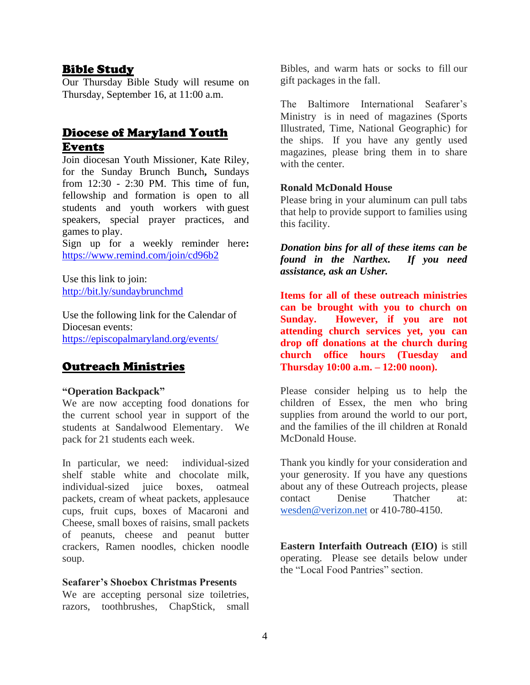#### Bible Study

Our Thursday Bible Study will resume on Thursday, September 16, at 11:00 a.m.

# Diocese of Maryland Youth Events

Join diocesan Youth Missioner, Kate Riley, for the Sunday Brunch Bunch**,** Sundays from 12:30 - 2:30 PM. This time of fun, fellowship and formation is open to all students and youth workers with guest speakers, special prayer practices, and games to play.

[Sign up for a weekly reminder here](https://episcopalmaryland.us11.list-manage.com/track/click?u=2f9dd94cde317640f66fe3a86&id=d759922ddc&e=6de4fcfe6d)**:**  <https://www.remind.com/join/cd96b2>

Use this link to join: <http://bit.ly/sundaybrunchmd>

Use the following link for the Calendar of Diocesan events: <https://episcopalmaryland.org/events/>

# Outreach Ministries

#### **"Operation Backpack"**

We are now accepting food donations for the current school year in support of the students at Sandalwood Elementary. We pack for 21 students each week.

In particular, we need: individual-sized shelf stable white and chocolate milk, individual-sized juice boxes, oatmeal packets, cream of wheat packets, applesauce cups, fruit cups, boxes of Macaroni and Cheese, small boxes of raisins, small packets of peanuts, cheese and peanut butter crackers, Ramen noodles, chicken noodle soup.

#### **Seafarer's Shoebox Christmas Presents**

We are accepting personal size toiletries, razors, toothbrushes, ChapStick, small Bibles, and warm hats or socks to fill our gift packages in the fall.

The Baltimore International Seafarer's Ministry is in need of magazines (Sports Illustrated, Time, National Geographic) for the ships. If you have any gently used magazines, please bring them in to share with the center.

#### **Ronald McDonald House**

Please bring in your aluminum can pull tabs that help to provide support to families using this facility.

*Donation bins for all of these items can be found in the Narthex. If you need assistance, ask an Usher.*

**Items for all of these outreach ministries can be brought with you to church on Sunday. However, if you are not attending church services yet, you can drop off donations at the church during church office hours (Tuesday and Thursday 10:00 a.m. – 12:00 noon).**

Please consider helping us to help the children of Essex, the men who bring supplies from around the world to our port, and the families of the ill children at Ronald McDonald House.

Thank you kindly for your consideration and your generosity. If you have any questions about any of these Outreach projects, please contact Denise Thatcher at: [wesden@verizon.net](mailto:wesden@verizon.net) or 410-780-4150.

**Eastern Interfaith Outreach (EIO)** is still operating. Please see details below under the "Local Food Pantries" section.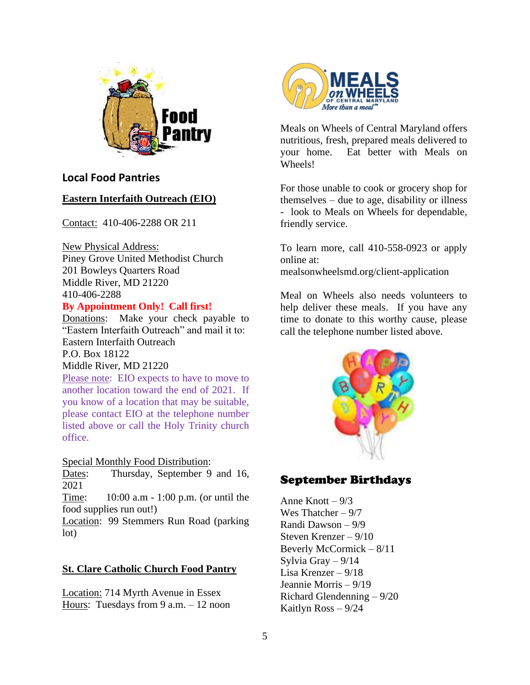

# **Local Food Pantries**

#### **Eastern Interfaith Outreach (EIO)**

Contact: 410-406-2288 OR 211

New Physical Address: Piney Grove United Methodist Church 201 Bowleys Quarters Road Middle River, MD 21220 410-406-2288

#### **By Appointment Only! Call first!**

Donations: Make your check payable to "Eastern Interfaith Outreach" and mail it to: Eastern Interfaith Outreach P.O. Box 18122

#### Middle River, MD 21220

Please note: EIO expects to have to move to another location toward the end of 2021. If you know of a location that may be suitable, please contact EIO at the telephone number listed above or call the Holy Trinity church office.

#### Special Monthly Food Distribution:

Dates: Thursday, September 9 and 16, 2021

Time: 10:00 a.m - 1:00 p.m. (or until the food supplies run out!)

Location: 99 Stemmers Run Road (parking lot)

## **St. Clare Catholic Church Food Pantry**

Location: 714 Myrth Avenue in Essex Hours: Tuesdays from 9 a.m.  $-12$  noon



Meals on Wheels of Central Maryland offers nutritious, fresh, prepared meals delivered to your home. Eat better with Meals on Wheels!

For those unable to cook or grocery shop for themselves – due to age, disability or illness - look to Meals on Wheels for dependable, friendly service.

To learn more, call 410-558-0923 or apply online at: mealsonwheelsmd.org/client-application

Meal on Wheels also needs volunteers to help deliver these meals. If you have any time to donate to this worthy cause, please call the telephone number listed above.



# September Birthdays

Anne Knott  $-9/3$ Wes Thatcher – 9/7 Randi Dawson – 9/9 Steven Krenzer – 9/10 Beverly McCormick – 8/11 Sylvia Gray – 9/14 Lisa Krenzer – 9/18 Jeannie Morris – 9/19 Richard Glendenning – 9/20 Kaitlyn Ross – 9/24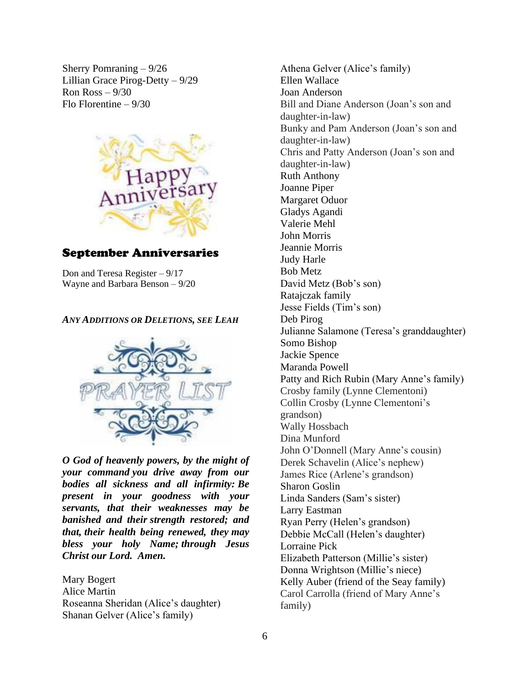Sherry Pomraning – 9/26 Lillian Grace Pirog-Detty – 9/29 Ron  $Ross - 9/30$ Flo Florentine – 9/30



# September Anniversaries

Don and Teresa Register – 9/17 Wayne and Barbara Benson – 9/20

#### *ANY ADDITIONS OR DELETIONS, SEE LEAH*



*O God of heavenly powers, by the might of your command you drive away from our bodies all sickness and all infirmity: Be present in your goodness with your servants, that their weaknesses may be banished and their strength restored; and that, their health being renewed, they may bless your holy Name; through Jesus Christ our Lord. Amen.*

Mary Bogert Alice Martin Roseanna Sheridan (Alice's daughter) Shanan Gelver (Alice's family)

Athena Gelver (Alice's family) Ellen Wallace Joan Anderson Bill and Diane Anderson (Joan's son and daughter-in-law) Bunky and Pam Anderson (Joan's son and daughter-in-law) Chris and Patty Anderson (Joan's son and daughter-in-law) Ruth Anthony Joanne Piper Margaret Oduor Gladys Agandi Valerie Mehl John Morris Jeannie Morris Judy Harle Bob Metz David Metz (Bob's son) Ratajczak family Jesse Fields (Tim's son) Deb Pirog Julianne Salamone (Teresa's granddaughter) Somo Bishop Jackie Spence Maranda Powell Patty and Rich Rubin (Mary Anne's family) Crosby family (Lynne Clementoni) Collin Crosby (Lynne Clementoni's grandson) Wally Hossbach Dina Munford John O'Donnell (Mary Anne's cousin) Derek Schavelin (Alice's nephew) James Rice (Arlene's grandson) Sharon Goslin Linda Sanders (Sam's sister) Larry Eastman Ryan Perry (Helen's grandson) Debbie McCall (Helen's daughter) Lorraine Pick Elizabeth Patterson (Millie's sister) Donna Wrightson (Millie's niece) Kelly Auber (friend of the Seay family) Carol Carrolla (friend of Mary Anne's family)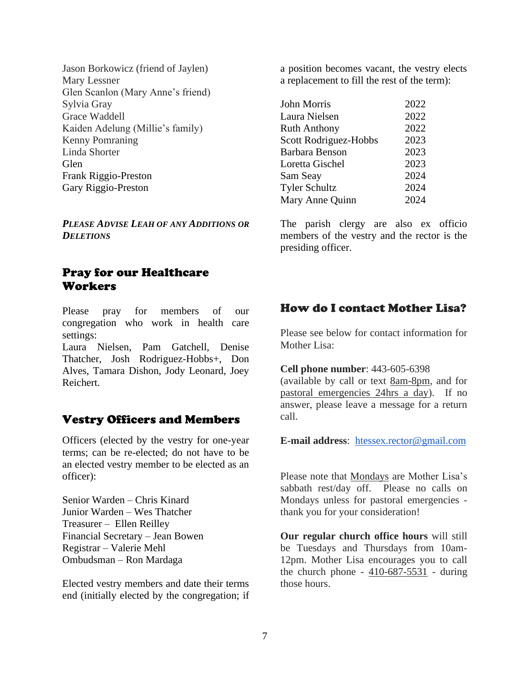Jason Borkowicz (friend of Jaylen) Mary Lessner Glen Scanlon (Mary Anne's friend) Sylvia Gray Grace Waddell Kaiden Adelung (Millie's family) Kenny Pomraning Linda Shorter Glen Frank Riggio-Preston Gary Riggio-Preston

*PLEASE ADVISE LEAH OF ANY ADDITIONS OR DELETIONS*

# Pray for our Healthcare Workers

Please pray for members of our congregation who work in health care settings:

Laura Nielsen, Pam Gatchell, Denise Thatcher, Josh Rodriguez-Hobbs+, Don Alves, Tamara Dishon, Jody Leonard, Joey Reichert.

#### Vestry Officers and Members

Officers (elected by the vestry for one-year terms; can be re-elected; do not have to be an elected vestry member to be elected as an officer):

Senior Warden – Chris Kinard Junior Warden – Wes Thatcher Treasurer – Ellen Reilley Financial Secretary – Jean Bowen Registrar – Valerie Mehl Ombudsman – Ron Mardaga

Elected vestry members and date their terms end (initially elected by the congregation; if a position becomes vacant, the vestry elects a replacement to fill the rest of the term):

| John Morris                  | 2022 |
|------------------------------|------|
| Laura Nielsen                | 2022 |
| Ruth Anthony                 | 2022 |
| <b>Scott Rodriguez-Hobbs</b> | 2023 |
| Barbara Benson               | 2023 |
| Loretta Gischel              | 2023 |
| Sam Seay                     | 2024 |
| <b>Tyler Schultz</b>         | 2024 |
| Mary Anne Quinn              | 2024 |
|                              |      |

The parish clergy are also ex officio members of the vestry and the rector is the presiding officer.

#### How do I contact Mother Lisa?

Please see below for contact information for Mother Lisa:

#### **Cell phone number**: 443-605-6398

(available by call or text 8am-8pm, and for pastoral emergencies 24hrs a day). If no answer, please leave a message for a return call.

**E-mail address**: [htessex.rector@gmail.com](mailto:htessex.rector@gmail.com)

Please note that Mondays are Mother Lisa's sabbath rest/day off. Please no calls on Mondays unless for pastoral emergencies thank you for your consideration!

**Our regular church office hours** will still be Tuesdays and Thursdays from 10am-12pm. Mother Lisa encourages you to call the church phone -  $410-687-5531$  - during those hours.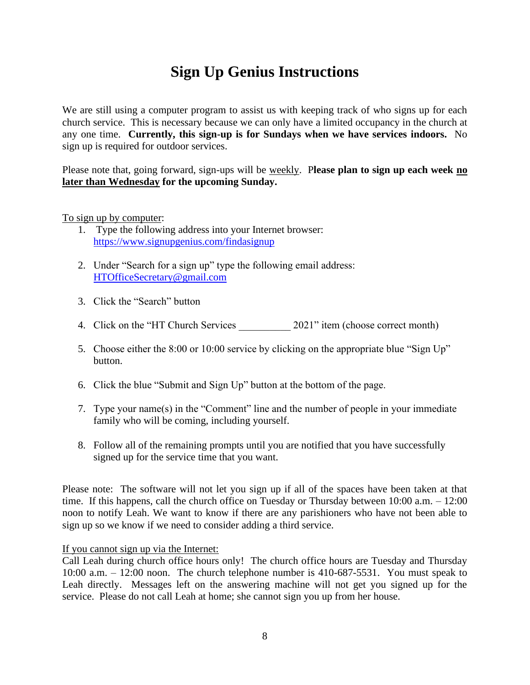# **Sign Up Genius Instructions**

We are still using a computer program to assist us with keeping track of who signs up for each church service. This is necessary because we can only have a limited occupancy in the church at any one time. **Currently, this sign-up is for Sundays when we have services indoors.** No sign up is required for outdoor services.

Please note that, going forward, sign-ups will be weekly. P**lease plan to sign up each week no later than Wednesday for the upcoming Sunday.**

#### To sign up by computer:

- 1. Type the following address into your Internet browser: <https://www.signupgenius.com/findasignup>
- 2. Under "Search for a sign up" type the following email address: [HTOfficeSecretary@gmail.com](mailto:HTOfficeSecretary@gmail.com)
- 3. Click the "Search" button
- 4. Click on the "HT Church Services 2021" item (choose correct month)
- 5. Choose either the 8:00 or 10:00 service by clicking on the appropriate blue "Sign Up" button.
- 6. Click the blue "Submit and Sign Up" button at the bottom of the page.
- 7. Type your name(s) in the "Comment" line and the number of people in your immediate family who will be coming, including yourself.
- 8. Follow all of the remaining prompts until you are notified that you have successfully signed up for the service time that you want.

Please note: The software will not let you sign up if all of the spaces have been taken at that time. If this happens, call the church office on Tuesday or Thursday between 10:00 a.m.  $- 12:00$ noon to notify Leah. We want to know if there are any parishioners who have not been able to sign up so we know if we need to consider adding a third service.

#### If you cannot sign up via the Internet:

Call Leah during church office hours only! The church office hours are Tuesday and Thursday 10:00 a.m. – 12:00 noon. The church telephone number is 410-687-5531. You must speak to Leah directly. Messages left on the answering machine will not get you signed up for the service. Please do not call Leah at home; she cannot sign you up from her house.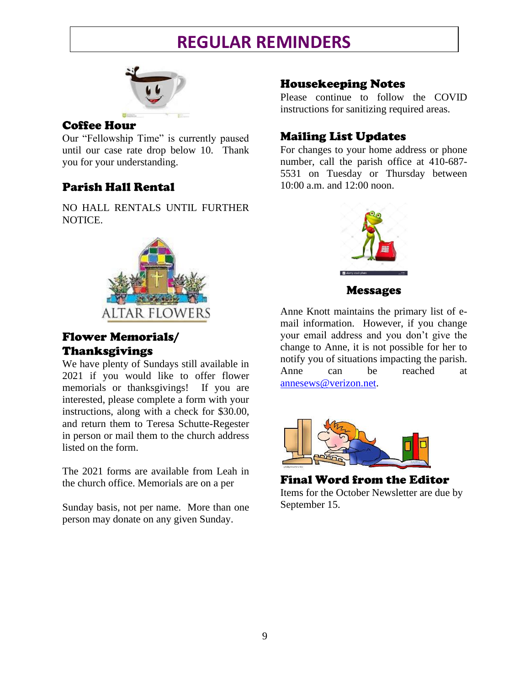# **REGULAR REMINDERS**



### Coffee Hour

Our "Fellowship Time" is currently paused until our case rate drop below 10. Thank you for your understanding.

# Parish Hall Rental

NO HALL RENTALS UNTIL FURTHER NOTICE.



# Flower Memorials/ Thanksgivings

We have plenty of Sundays still available in 2021 if you would like to offer flower memorials or thanksgivings! If you are interested, please complete a form with your instructions, along with a check for \$30.00, and return them to Teresa Schutte-Regester in person or mail them to the church address listed on the form.

The 2021 forms are available from Leah in the church office. Memorials are on a per

Sunday basis, not per name. More than one person may donate on any given Sunday.

# Housekeeping Notes

Please continue to follow the COVID instructions for sanitizing required areas.

# Mailing List Updates

For changes to your home address or phone number, call the parish office at 410-687- 5531 on Tuesday or Thursday between 10:00 a.m. and 12:00 noon.



Messages

Anne Knott maintains the primary list of email information. However, if you change your email address and you don't give the change to Anne, it is not possible for her to notify you of situations impacting the parish. Anne can be reached at [annesews@verizon.net.](mailto:annesews@verizon.net)



Final Word from the Editor Items for the October Newsletter are due by September 15.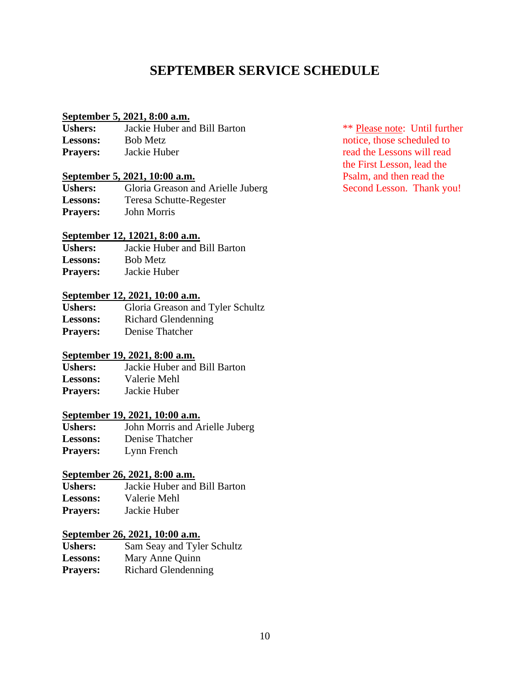# **SEPTEMBER SERVICE SCHEDULE**

#### **September 5, 2021, 8:00 a.m.**

| <b>Ushers:</b>  | Jackie Huber and Bill Barton |
|-----------------|------------------------------|
| <b>Lessons:</b> | <b>Bob Metz</b>              |
| <b>Prayers:</b> | Jackie Huber                 |

#### **September 5, 2021, 10:00 a.m.** Psalm, and then read the

| <b>Ushers:</b>  | Gloria Greason and Arielle Juberg |
|-----------------|-----------------------------------|
| <b>Lessons:</b> | <b>Teresa Schutte-Regester</b>    |
| <b>Prayers:</b> | John Morris                       |

#### **September 12, 12021, 8:00 a.m.**

| <b>Ushers:</b>  | Jackie Huber and Bill Barton |
|-----------------|------------------------------|
| <b>Lessons:</b> | <b>Bob Metz</b>              |
| <b>Prayers:</b> | Jackie Huber                 |

#### **September 12, 2021, 10:00 a.m.**

| <b>Ushers:</b>  | Gloria Greason and Tyler Schultz |
|-----------------|----------------------------------|
| <b>Lessons:</b> | Richard Glendenning              |
| <b>Prayers:</b> | Denise Thatcher                  |

#### **September 19, 2021, 8:00 a.m.**

**Ushers:** Jackie Huber and Bill Barton **Lessons:** Valerie Mehl **Prayers:** Jackie Huber

# **September 19, 2021, 10:00 a.m.**<br>**Ushers:** John Morris and A

**Ushers:** John Morris and Arielle Juberg **Lessons:** Denise Thatcher **Prayers:** Lynn French

# **September 26, 2021, 8:00 a.m.**<br>**Ushers:** Jackie Huber and

**Ushers:** Jackie Huber and Bill Barton **Lessons:** Valerie Mehl **Prayers:** Jackie Huber

#### **September 26, 2021, 10:00 a.m.**

| <b>Ushers:</b>  | Sam Seay and Tyler Schultz |
|-----------------|----------------------------|
| <b>Lessons:</b> | Mary Anne Quinn            |
| <b>Prayers:</b> | <b>Richard Glendenning</b> |

\*\* Please note: Until further notice, those scheduled to read the Lessons will read the First Lesson, lead the Second Lesson. Thank you!